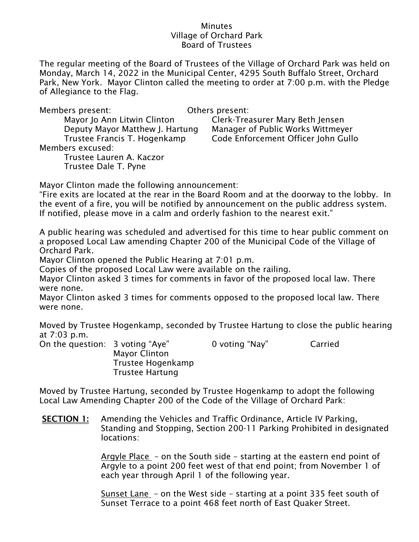## **Minutes** Village of Orchard Park Board of Trustees

The regular meeting of the Board of Trustees of the Village of Orchard Park was held on Monday, March 14, 2022 in the Municipal Center, 4295 South Buffalo Street, Orchard Park, New York. Mayor Clinton called the meeting to order at 7:00 p.m. with the Pledge of Allegiance to the Flag.

| Members present:                | Others present:                     |
|---------------------------------|-------------------------------------|
| Mayor Jo Ann Litwin Clinton     | Clerk-Treasurer Mary Beth Jensen    |
| Deputy Mayor Matthew J. Hartung | Manager of Public Works Wittmeyer   |
| Trustee Francis T. Hogenkamp    | Code Enforcement Officer John Gullo |
| Members excused:                |                                     |
| Trustee Lauren A. Kaczor        |                                     |
| Trustee Dale T. Pyne            |                                     |

Mayor Clinton made the following announcement:

"Fire exits are located at the rear in the Board Room and at the doorway to the lobby. In the event of a fire, you will be notified by announcement on the public address system. If notified, please move in a calm and orderly fashion to the nearest exit."

A public hearing was scheduled and advertised for this time to hear public comment on a proposed Local Law amending Chapter 200 of the Municipal Code of the Village of Orchard Park.

Mayor Clinton opened the Public Hearing at 7:01 p.m.

Copies of the proposed Local Law were available on the railing.

Mayor Clinton asked 3 times for comments in favor of the proposed local law. There were none.

Mayor Clinton asked 3 times for comments opposed to the proposed local law. There were none.

Moved by Trustee Hogenkamp, seconded by Trustee Hartung to close the public hearing at 7:03 p.m.

| On the question: 3 voting "Aye" |                        | 0 voting "Nay" | Carried |
|---------------------------------|------------------------|----------------|---------|
|                                 | <b>Mayor Clinton</b>   |                |         |
|                                 | Trustee Hogenkamp      |                |         |
|                                 | <b>Trustee Hartung</b> |                |         |

Moved by Trustee Hartung, seconded by Trustee Hogenkamp to adopt the following Local Law Amending Chapter 200 of the Code of the Village of Orchard Park:

**SECTION 1:** Amending the Vehicles and Traffic Ordinance, Article IV Parking, Standing and Stopping, Section 200-11 Parking Prohibited in designated locations:

> Argyle Place – on the South side – starting at the eastern end point of Argyle to a point 200 feet west of that end point; from November 1 of each year through April 1 of the following year.

> Sunset Lane – on the West side – starting at a point 335 feet south of Sunset Terrace to a point 468 feet north of East Quaker Street.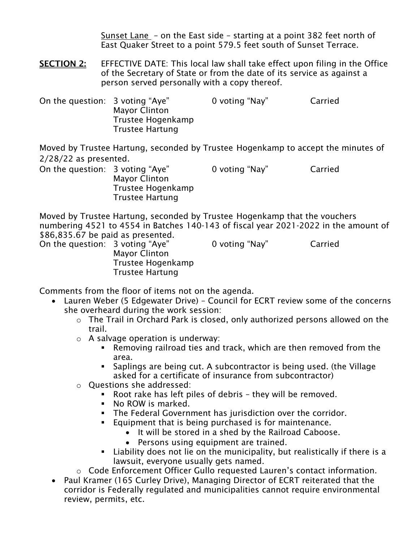Sunset Lane – on the East side – starting at a point 382 feet north of East Quaker Street to a point 579.5 feet south of Sunset Terrace.

**SECTION 2:** EFFECTIVE DATE: This local law shall take effect upon filing in the Office of the Secretary of State or from the date of its service as against a person served personally with a copy thereof.

| On the question: 3 voting "Aye" |                        | 0 voting "Nay" | Carried |
|---------------------------------|------------------------|----------------|---------|
|                                 | <b>Mayor Clinton</b>   |                |         |
|                                 | Trustee Hogenkamp      |                |         |
|                                 | <b>Trustee Hartung</b> |                |         |

Moved by Trustee Hartung, seconded by Trustee Hogenkamp to accept the minutes of 2/28/22 as presented.

| On the question: 3 voting "Aye" |                        | 0 voting "Nay" | Carried |
|---------------------------------|------------------------|----------------|---------|
|                                 | <b>Mayor Clinton</b>   |                |         |
|                                 | Trustee Hogenkamp      |                |         |
|                                 | <b>Trustee Hartung</b> |                |         |

Moved by Trustee Hartung, seconded by Trustee Hogenkamp that the vouchers numbering 4521 to 4554 in Batches 140-143 of fiscal year 2021-2022 in the amount of \$86,835.67 be paid as presented.

On the question: 3 voting "Aye" 0 voting "Nay" Carried Mayor Clinton Trustee Hogenkamp Trustee Hartung

Comments from the floor of items not on the agenda.

- Lauren Weber (5 Edgewater Drive) Council for ECRT review some of the concerns she overheard during the work session:
	- o The Trail in Orchard Park is closed, only authorized persons allowed on the trail.
	- o A salvage operation is underway:
		- Removing railroad ties and track, which are then removed from the area.
		- Saplings are being cut. A subcontractor is being used. (the Village asked for a certificate of insurance from subcontractor)
	- o Questions she addressed:
		- Root rake has left piles of debris they will be removed.
		- No ROW is marked.
		- **•** The Federal Government has jurisdiction over the corridor.
		- Equipment that is being purchased is for maintenance.
			- It will be stored in a shed by the Railroad Caboose.
			- Persons using equipment are trained.
		- Liability does not lie on the municipality, but realistically if there is a lawsuit, everyone usually gets named.
	- o Code Enforcement Officer Gullo requested Lauren's contact information.
- Paul Kramer (165 Curley Drive), Managing Director of ECRT reiterated that the corridor is Federally regulated and municipalities cannot require environmental review, permits, etc.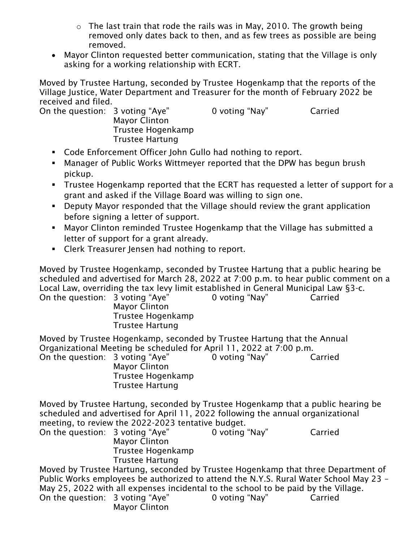- $\circ$  The last train that rode the rails was in May, 2010. The growth being removed only dates back to then, and as few trees as possible are being removed.
- Mayor Clinton requested better communication, stating that the Village is only asking for a working relationship with ECRT.

Moved by Trustee Hartung, seconded by Trustee Hogenkamp that the reports of the Village Justice, Water Department and Treasurer for the month of February 2022 be received and filed.

Mayor Clinton Trustee Hogenkamp Trustee Hartung

On the question: 3 voting "Aye" 0 voting "Nay" Carried

- Code Enforcement Officer John Gullo had nothing to report.
- Manager of Public Works Wittmeyer reported that the DPW has begun brush pickup.
- Trustee Hogenkamp reported that the ECRT has requested a letter of support for a grant and asked if the Village Board was willing to sign one.
- Deputy Mayor responded that the Village should review the grant application before signing a letter of support.
- Mayor Clinton reminded Trustee Hogenkamp that the Village has submitted a letter of support for a grant already.
- **EXECTE:** Clerk Treasurer Jensen had nothing to report.

Moved by Trustee Hogenkamp, seconded by Trustee Hartung that a public hearing be scheduled and advertised for March 28, 2022 at 7:00 p.m. to hear public comment on a Local Law, overriding the tax levy limit established in General Municipal Law §3-c.

On the question: 3 voting "Aye" 0 voting "Nay" Carried Mayor Clinton Trustee Hogenkamp Trustee Hartung

Moved by Trustee Hogenkamp, seconded by Trustee Hartung that the Annual Organizational Meeting be scheduled for April 11, 2022 at 7:00 p.m. On the question: 3 voting "Aye" 0 voting "Nay" Carried Mayor Clinton Trustee Hogenkamp Trustee Hartung

Moved by Trustee Hartung, seconded by Trustee Hogenkamp that a public hearing be scheduled and advertised for April 11, 2022 following the annual organizational meeting, to review the 2022-2023 tentative budget.

On the question: 3 voting "Aye" 0 voting "Nay" Carried Mayor Clinton Trustee Hogenkamp Trustee Hartung

Moved by Trustee Hartung, seconded by Trustee Hogenkamp that three Department of Public Works employees be authorized to attend the N.Y.S. Rural Water School May 23 – May 25, 2022 with all expenses incidental to the school to be paid by the Village. On the question: 3 voting "Aye" 0 voting "Nay" Carried Mayor Clinton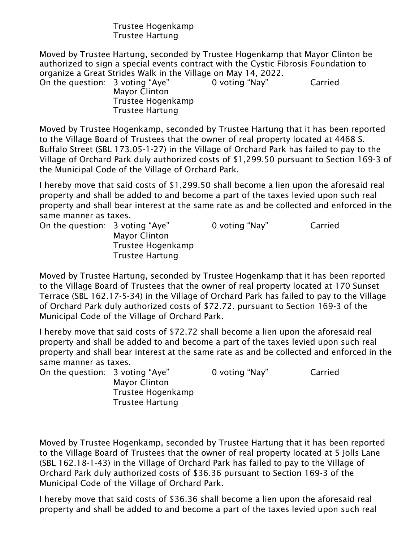## Trustee Hogenkamp Trustee Hartung

Moved by Trustee Hartung, seconded by Trustee Hogenkamp that Mayor Clinton be authorized to sign a special events contract with the Cystic Fibrosis Foundation to organize a Great Strides Walk in the Village on May 14, 2022.

On the question: 3 voting "Aye" 0 voting "Nay" Carried Mayor Clinton Trustee Hogenkamp Trustee Hartung

Moved by Trustee Hogenkamp, seconded by Trustee Hartung that it has been reported to the Village Board of Trustees that the owner of real property located at 4468 S. Buffalo Street (SBL 173.05-1-27) in the Village of Orchard Park has failed to pay to the Village of Orchard Park duly authorized costs of \$1,299.50 pursuant to Section 169-3 of the Municipal Code of the Village of Orchard Park.

I hereby move that said costs of \$1,299.50 shall become a lien upon the aforesaid real property and shall be added to and become a part of the taxes levied upon such real property and shall bear interest at the same rate as and be collected and enforced in the same manner as taxes.

| On the question: 3 voting "Aye" |                        | 0 voting "Nay" | Carried |
|---------------------------------|------------------------|----------------|---------|
|                                 | <b>Mayor Clinton</b>   |                |         |
|                                 | Trustee Hogenkamp      |                |         |
|                                 | <b>Trustee Hartung</b> |                |         |

Moved by Trustee Hartung, seconded by Trustee Hogenkamp that it has been reported to the Village Board of Trustees that the owner of real property located at 170 Sunset Terrace (SBL 162.17-5-34) in the Village of Orchard Park has failed to pay to the Village of Orchard Park duly authorized costs of \$72.72. pursuant to Section 169-3 of the Municipal Code of the Village of Orchard Park.

I hereby move that said costs of \$72.72 shall become a lien upon the aforesaid real property and shall be added to and become a part of the taxes levied upon such real property and shall bear interest at the same rate as and be collected and enforced in the same manner as taxes.

On the question: 3 voting "Aye" 0 voting "Nay" Carried

Mayor Clinton Trustee Hogenkamp Trustee Hartung

Moved by Trustee Hogenkamp, seconded by Trustee Hartung that it has been reported to the Village Board of Trustees that the owner of real property located at 5 Jolls Lane (SBL 162.18-1-43) in the Village of Orchard Park has failed to pay to the Village of Orchard Park duly authorized costs of \$36.36 pursuant to Section 169-3 of the Municipal Code of the Village of Orchard Park.

I hereby move that said costs of \$36.36 shall become a lien upon the aforesaid real property and shall be added to and become a part of the taxes levied upon such real